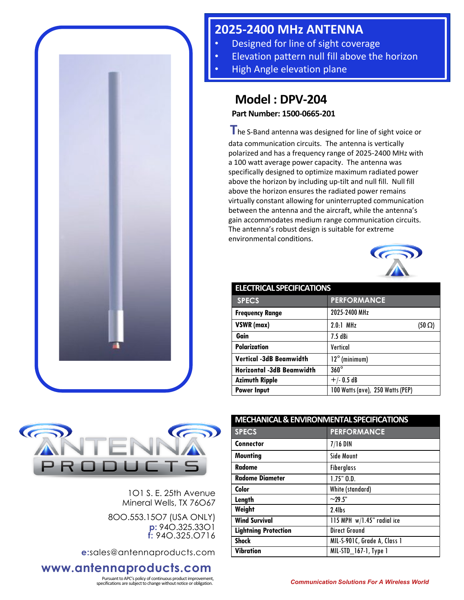

## **2025-2400 MHz ANTENNA**

- Designed for line of sight coverage
- Elevation pattern null fill above the horizon
- High Angle elevation plane

## **Model : DPV-204**

**Part Number: 1500-0665-201**

**T**he S-Band antenna was designed for line of sight voice or data communication circuits. The antenna is vertically polarized and has a frequency range of 2025-2400 MHz with a 100 watt average power capacity. The antenna was specifically designed to optimize maximum radiated power above the horizon by including up-tilt and null fill. Null fill above the horizon ensures the radiated power remains virtually constant allowing for uninterrupted communication between the antenna and the aircraft, while the antenna's gain accommodates medium range communication circuits. The antenna's robust design is suitable for extreme environmental conditions.



| <b>ELECTRICAL SPECIFICATIONS</b> |                                  |
|----------------------------------|----------------------------------|
| <b>SPECS</b>                     | <b>PERFORMANCE</b>               |
| <b>Frequency Range</b>           | 2025-2400 MHz                    |
| VSWR (max)                       | $2.0.1$ MHz<br>$(50 \Omega)$     |
| Gain                             | 7.5 dBi                          |
| <b>Polarization</b>              | Vertical                         |
| <b>Vertical -3dB Beamwidth</b>   | $12^{\circ}$ (minimum)           |
| <b>Horizontal -3dB Beamwidth</b> | $360^\circ$                      |
| <b>Azimuth Ripple</b>            | $+/- 0.5 dB$                     |
| <b>Power Input</b>               | 100 Watts (ave), 250 Watts (PEP) |



1O1 S. E. 25th Avenue Mineral Wells, TX 76O67

8OO.553.15O7 (USA ONLY) **p:** 94O.325.33O1 **f:** 94O.325.O716

**e:**sales@antennaproducts.com

## **www.antennaproducts.com**

Pursuant to APC's policy of continuous product improvement,

| <b>MECHANICAL &amp; ENVIRONMENTAL SPECIFICATIONS</b> |                              |
|------------------------------------------------------|------------------------------|
| <b>SPECS</b>                                         | <b>PERFORMANCE</b>           |
| <b>Connector</b>                                     | $7/16$ DIN                   |
| <b>Mounting</b>                                      | <b>Side Mount</b>            |
| Radome                                               | <b>Fiberglass</b>            |
| <b>Radome Diameter</b>                               | $1.75"$ $0.0.$               |
| Color                                                | White (standard)             |
| Length                                               | $~29.5$ "                    |
| Weight                                               | $2.4$ lbs                    |
| <b>Wind Survival</b>                                 | 115 MPH w/1.45" radial ice   |
| <b>Lightning Protection</b>                          | <b>Direct Ground</b>         |
| <b>Shock</b>                                         | MIL-S-901C, Grade A, Class 1 |
| <b>Vibration</b>                                     | MIL-STD_167-1, Type 1        |